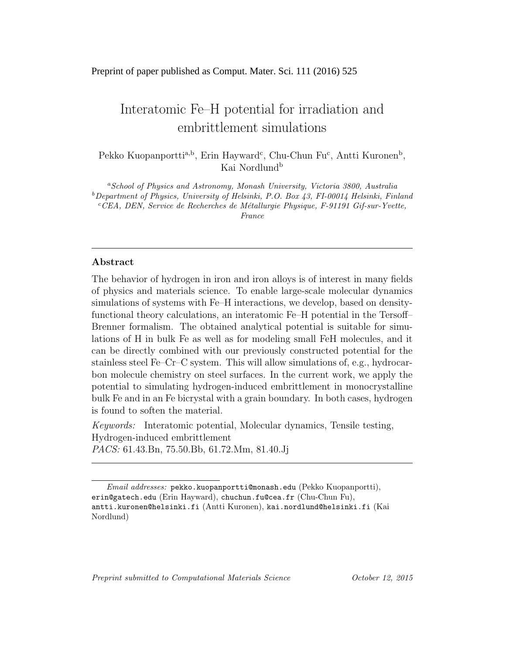## Preprint of paper published as Comput. Mater. Sci. 111 (2016) 525

# Interatomic Fe–H potential for irradiation and embrittlement simulations

Pekko Kuopanportti<sup>a,b</sup>, Erin Hayward<sup>c</sup>, Chu-Chun Fu<sup>c</sup>, Antti Kuronen<sup>b</sup>, Kai Nordlund<sup>b</sup>

<sup>a</sup>School of Physics and Astronomy, Monash University, Victoria 3800, Australia  $b$ Department of Physics, University of Helsinki, P.O. Box 43, FI-00014 Helsinki, Finland  ${}^cCEA$ , DEN, Service de Recherches de Métallurgie Physique, F-91191 Gif-sur-Yvette, France

### Abstract

The behavior of hydrogen in iron and iron alloys is of interest in many fields of physics and materials science. To enable large-scale molecular dynamics simulations of systems with Fe–H interactions, we develop, based on densityfunctional theory calculations, an interatomic Fe–H potential in the Tersoff– Brenner formalism. The obtained analytical potential is suitable for simulations of H in bulk Fe as well as for modeling small FeH molecules, and it can be directly combined with our previously constructed potential for the stainless steel Fe–Cr–C system. This will allow simulations of, e.g., hydrocarbon molecule chemistry on steel surfaces. In the current work, we apply the potential to simulating hydrogen-induced embrittlement in monocrystalline bulk Fe and in an Fe bicrystal with a grain boundary. In both cases, hydrogen is found to soften the material.

Keywords: Interatomic potential, Molecular dynamics, Tensile testing, Hydrogen-induced embrittlement PACS: 61.43.Bn, 75.50.Bb, 61.72.Mm, 81.40.Jj

Preprint submitted to Computational Materials Science  $October 12, 2015$ 

Email addresses: pekko.kuopanportti@monash.edu (Pekko Kuopanportti), erin@gatech.edu (Erin Hayward), chuchun.fu@cea.fr (Chu-Chun Fu), antti.kuronen@helsinki.fi (Antti Kuronen), kai.nordlund@helsinki.fi (Kai Nordlund)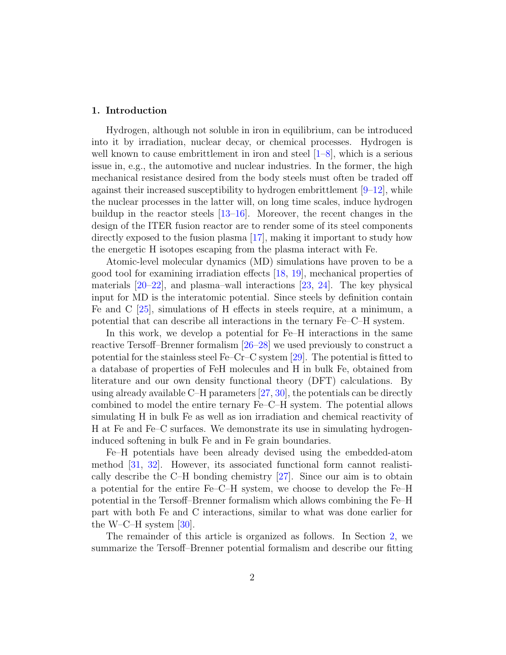### 1. Introduction

Hydrogen, although not soluble in iron in equilibrium, can be introduced into it by irradiation, nuclear decay, or chemical processes. Hydrogen is well known to cause embrittlement in iron and steel  $[1-8]$  $[1-8]$ , which is a serious issue in, e.g., the automotive and nuclear industries. In the former, the high mechanical resistance desired from the body steels must often be traded off against their increased susceptibility to hydrogen embrittlement  $[9-12]$  $[9-12]$ , while the nuclear processes in the latter will, on long time scales, induce hydrogen buildup in the reactor steels [\[13–](#page-16-4)[16\]](#page-16-5). Moreover, the recent changes in the design of the ITER fusion reactor are to render some of its steel components directly exposed to the fusion plasma [\[17\]](#page-18-0), making it important to study how the energetic H isotopes escaping from the plasma interact with Fe.

Atomic-level molecular dynamics (MD) simulations have proven to be a good tool for examining irradiation effects [\[18,](#page-18-1) [19\]](#page-18-2), mechanical properties of materials [\[20–](#page-18-3)[22\]](#page-18-4), and plasma–wall interactions [\[23,](#page-18-5) [24\]](#page-18-6). The key physical input for MD is the interatomic potential. Since steels by definition contain Fe and C [\[25\]](#page-18-7), simulations of H effects in steels require, at a minimum, a potential that can describe all interactions in the ternary Fe–C–H system.

In this work, we develop a potential for Fe–H interactions in the same reactive Tersoff–Brenner formalism [\[26–](#page-18-8)[28\]](#page-18-9) we used previously to construct a potential for the stainless steel Fe–Cr–C system [\[29\]](#page-18-10). The potential is fitted to a database of properties of FeH molecules and H in bulk Fe, obtained from literature and our own density functional theory (DFT) calculations. By using already available C–H parameters [\[27,](#page-18-11) [30\]](#page-18-12), the potentials can be directly combined to model the entire ternary Fe–C–H system. The potential allows simulating H in bulk Fe as well as ion irradiation and chemical reactivity of H at Fe and Fe–C surfaces. We demonstrate its use in simulating hydrogeninduced softening in bulk Fe and in Fe grain boundaries.

Fe–H potentials have been already devised using the embedded-atom method [\[31,](#page-18-13) [32\]](#page-19-0). However, its associated functional form cannot realistically describe the C–H bonding chemistry [\[27\]](#page-18-11). Since our aim is to obtain a potential for the entire Fe–C–H system, we choose to develop the Fe–H potential in the Tersoff–Brenner formalism which allows combining the Fe–H part with both Fe and C interactions, similar to what was done earlier for the W–C–H system  $[30]$ .

The remainder of this article is organized as follows. In Section [2,](#page-2-0) we summarize the Tersoff–Brenner potential formalism and describe our fitting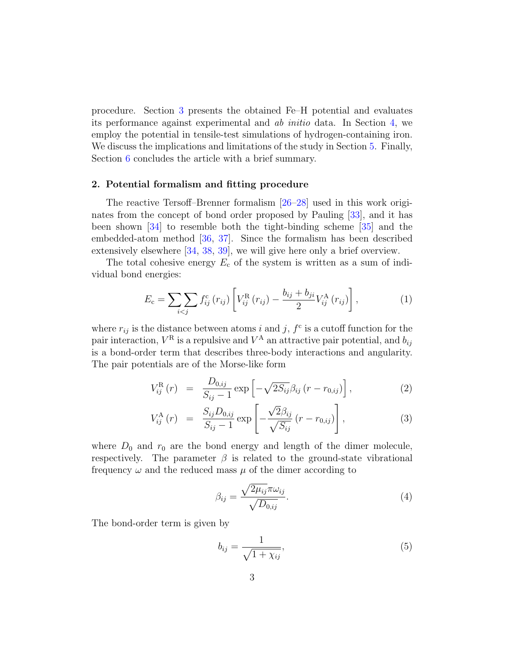procedure. Section [3](#page-4-0) presents the obtained Fe–H potential and evaluates its performance against experimental and ab initio data. In Section [4,](#page-7-0) we employ the potential in tensile-test simulations of hydrogen-containing iron. We discuss the implications and limitations of the study in Section [5.](#page-12-0) Finally, Section [6](#page-15-0) concludes the article with a brief summary.

#### <span id="page-2-0"></span>2. Potential formalism and fitting procedure

The reactive Tersoff–Brenner formalism [\[26–](#page-18-8)[28\]](#page-18-9) used in this work originates from the concept of bond order proposed by Pauling [\[33\]](#page-19-1), and it has been shown [\[34\]](#page-19-2) to resemble both the tight-binding scheme [\[35\]](#page-19-3) and the embedded-atom method [\[36,](#page-19-4) [37\]](#page-19-5). Since the formalism has been described extensively elsewhere [\[34,](#page-19-2) [38,](#page-19-6) [39\]](#page-19-7), we will give here only a brief overview.

The total cohesive energy  $E_c$  of the system is written as a sum of individual bond energies:

<span id="page-2-1"></span>
$$
E_{\rm c} = \sum_{i < j} f_{ij}^{\rm c} (r_{ij}) \left[ V_{ij}^{\rm R} (r_{ij}) - \frac{b_{ij} + b_{ji}}{2} V_{ij}^{\rm A} (r_{ij}) \right], \tag{1}
$$

where  $r_{ij}$  is the distance between atoms i and j,  $f^c$  is a cutoff function for the pair interaction,  $V^{\text{R}}$  is a repulsive and  $V^{\text{A}}$  an attractive pair potential, and  $b_{ij}$ is a bond-order term that describes three-body interactions and angularity. The pair potentials are of the Morse-like form

$$
V_{ij}^{\rm R}(r) = \frac{D_{0,ij}}{S_{ij} - 1} \exp \left[ -\sqrt{2S_{ij}} \beta_{ij} (r - r_{0,ij}) \right], \tag{2}
$$

$$
V_{ij}^{A}(r) = \frac{S_{ij}D_{0,ij}}{S_{ij}-1} \exp\left[-\frac{\sqrt{2}\beta_{ij}}{\sqrt{S_{ij}}}(r-r_{0,ij})\right],
$$
\n(3)

where  $D_0$  and  $r_0$  are the bond energy and length of the dimer molecule, respectively. The parameter  $\beta$  is related to the ground-state vibrational frequency  $\omega$  and the reduced mass  $\mu$  of the dimer according to

$$
\beta_{ij} = \frac{\sqrt{2\mu_{ij}}\pi\omega_{ij}}{\sqrt{D_{0,ij}}}.
$$
\n(4)

The bond-order term is given by

$$
b_{ij} = \frac{1}{\sqrt{1 + \chi_{ij}}},\tag{5}
$$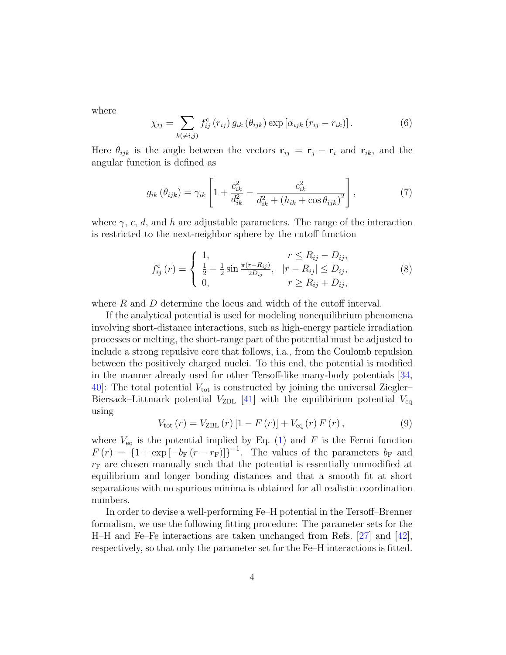where

$$
\chi_{ij} = \sum_{k(\neq i,j)} f_{ij}^c(r_{ij}) g_{ik}(\theta_{ijk}) \exp\left[\alpha_{ijk}(r_{ij} - r_{ik})\right]. \tag{6}
$$

Here  $\theta_{ijk}$  is the angle between the vectors  $\mathbf{r}_{ij} = \mathbf{r}_j - \mathbf{r}_i$  and  $\mathbf{r}_{ik}$ , and the angular function is defined as

$$
g_{ik}(\theta_{ijk}) = \gamma_{ik} \left[ 1 + \frac{c_{ik}^2}{d_{ik}^2} - \frac{c_{ik}^2}{d_{ik}^2 + (h_{ik} + \cos \theta_{ijk})^2} \right],
$$
 (7)

where  $\gamma$ , c, d, and h are adjustable parameters. The range of the interaction is restricted to the next-neighbor sphere by the cutoff function

<span id="page-3-1"></span>
$$
f_{ij}^c(r) = \begin{cases} 1, & r \le R_{ij} - D_{ij}, \\ \frac{1}{2} - \frac{1}{2} \sin \frac{\pi (r - R_{ij})}{2D_{ij}}, & |r - R_{ij}| \le D_{ij}, \\ 0, & r \ge R_{ij} + D_{ij}, \end{cases}
$$
(8)

where R and D determine the locus and width of the cutoff interval.

If the analytical potential is used for modeling nonequilibrium phenomena involving short-distance interactions, such as high-energy particle irradiation processes or melting, the short-range part of the potential must be adjusted to include a strong repulsive core that follows, i.a., from the Coulomb repulsion between the positively charged nuclei. To this end, the potential is modified in the manner already used for other Tersoff-like many-body potentials [\[34,](#page-19-2) [40\]](#page-19-8): The total potential  $V_{\text{tot}}$  is constructed by joining the universal Ziegler– Biersack–Littmark potential  $V_{\text{ZBL}}$  [\[41\]](#page-19-9) with the equilibirium potential  $V_{\text{eq}}$ using

<span id="page-3-0"></span>
$$
V_{\text{tot}}(r) = V_{\text{ZBL}}(r) \left[1 - F(r)\right] + V_{\text{eq}}(r) F(r), \qquad (9)
$$

where  $V_{\text{eq}}$  is the potential implied by Eq. [\(1\)](#page-2-1) and F is the Fermi function  $F(r) = \left\{1 + \exp[-b_F(r - r_F)]\right\}^{-1}$ . The values of the parameters  $b_F$  and  $r_F$  are chosen manually such that the potential is essentially unmodified at equilibrium and longer bonding distances and that a smooth fit at short separations with no spurious minima is obtained for all realistic coordination numbers.

In order to devise a well-performing Fe–H potential in the Tersoff–Brenner formalism, we use the following fitting procedure: The parameter sets for the H–H and Fe–Fe interactions are taken unchanged from Refs. [\[27\]](#page-18-11) and [\[42\]](#page-19-10), respectively, so that only the parameter set for the Fe–H interactions is fitted.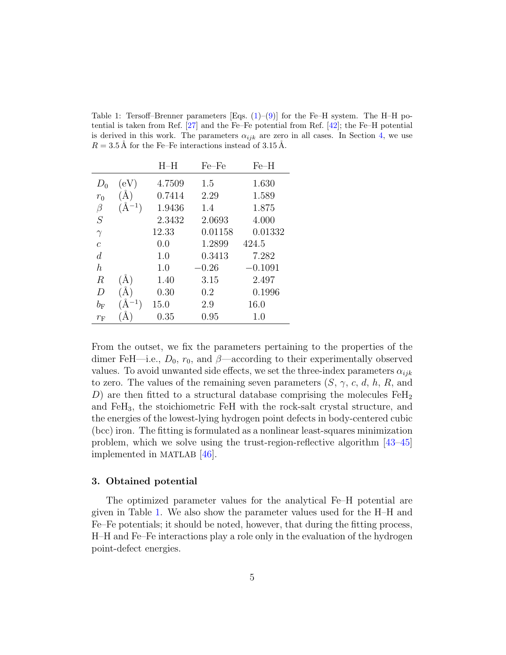<span id="page-4-1"></span>Table 1: Tersoff–Brenner parameters [Eqs.  $(1)-(9)$  $(1)-(9)$  $(1)-(9)$ ] for the Fe–H system. The H–H potential is taken from Ref. [\[27\]](#page-18-11) and the Fe–Fe potential from Ref. [\[42\]](#page-19-10); the Fe–H potential is derived in this work. The parameters  $\alpha_{ijk}$  are zero in all cases. In Section [4,](#page-7-0) we use  $R = 3.5$  Å for the Fe–Fe interactions instead of  $3.15$  Å.

|                  |            | $H-H$  | $Fe-Fe$ | $Fe-H$    |
|------------------|------------|--------|---------|-----------|
| $D_0$            | (eV)       | 4.7509 | 1.5     | 1.630     |
| $r_0$            | $\rm \AA)$ | 0.7414 | 2.29    | 1.589     |
| β                | $(A^{-1})$ | 1.9436 | 1.4     | 1.875     |
| S                |            | 2.3432 | 2.0693  | 4.000     |
| $\gamma$         |            | 12.33  | 0.01158 | 0.01332   |
| $\overline{c}$   |            | 0.0    | 1.2899  | 424.5     |
| d                |            | 1.0    | 0.3413  | 7.282     |
| $\boldsymbol{h}$ |            | 1.0    | $-0.26$ | $-0.1091$ |
| $\,$ R           | (A)        | 1.40   | 3.15    | 2.497     |
| D                | $\rm \AA)$ | 0.30   | 0.2     | 0.1996    |
| $b_{\rm F}$      | $\AA^{-1}$ | 15.0   | 2.9     | 16.0      |
| $r_{\rm F}$      |            | 0.35   | 0.95    | 1.0       |

From the outset, we fix the parameters pertaining to the properties of the dimer FeH—i.e.,  $D_0$ ,  $r_0$ , and  $\beta$ —according to their experimentally observed values. To avoid unwanted side effects, we set the three-index parameters  $\alpha_{ijk}$ to zero. The values of the remaining seven parameters  $(S, \gamma, c, d, h, R, \text{and})$ D) are then fitted to a structural database comprising the molecules  $\text{FeH}_2$ and  $F\text{eH}_3$ , the stoichiometric FeH with the rock-salt crystal structure, and the energies of the lowest-lying hydrogen point defects in body-centered cubic (bcc) iron. The fitting is formulated as a nonlinear least-squares minimization problem, which we solve using the trust-region-reflective algorithm [\[43–](#page-19-11)[45\]](#page-19-12) implemented in MATLAB [\[46\]](#page-19-13).

### <span id="page-4-0"></span>3. Obtained potential

The optimized parameter values for the analytical Fe–H potential are given in Table [1.](#page-4-1) We also show the parameter values used for the H–H and Fe–Fe potentials; it should be noted, however, that during the fitting process, H–H and Fe–Fe interactions play a role only in the evaluation of the hydrogen point-defect energies.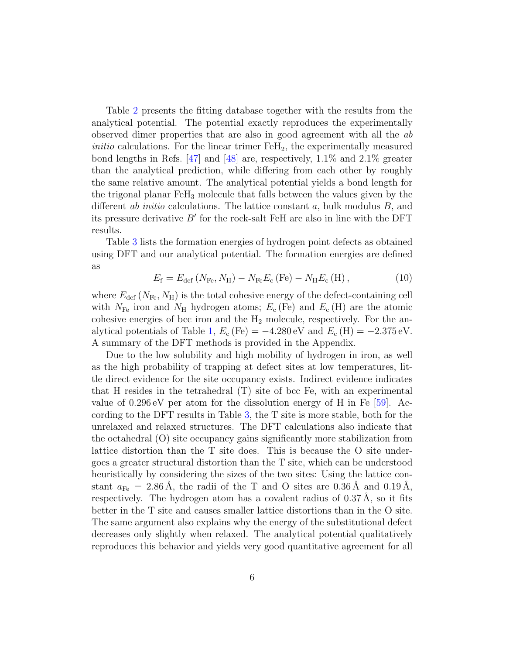Table [2](#page-6-0) presents the fitting database together with the results from the analytical potential. The potential exactly reproduces the experimentally observed dimer properties that are also in good agreement with all the ab *initio* calculations. For the linear trimer  $F \nE H_2$ , the experimentally measured bond lengths in Refs. [\[47\]](#page-19-14) and [\[48\]](#page-20-0) are, respectively, 1.1% and 2.1% greater than the analytical prediction, while differing from each other by roughly the same relative amount. The analytical potential yields a bond length for the trigonal planar  $F_1F_3$  molecule that falls between the values given by the different *ab initio* calculations. The lattice constant *a*, bulk modulus  $B$ , and its pressure derivative  $B'$  for the rock-salt FeH are also in line with the DFT results.

Table [3](#page-7-1) lists the formation energies of hydrogen point defects as obtained using DFT and our analytical potential. The formation energies are defined as

$$
E_{\rm f} = E_{\rm def} \left( N_{\rm Fe}, N_{\rm H} \right) - N_{\rm Fe} E_{\rm c} \left( \rm Fe \right) - N_{\rm H} E_{\rm c} \left( \rm H \right), \tag{10}
$$

where  $E_{\text{def}}(N_{\text{Fe}}, N_{\text{H}})$  is the total cohesive energy of the defect-containing cell with  $N_{\text{Fe}}$  iron and  $N_{\text{H}}$  hydrogen atoms;  $E_{\text{c}}$  (Fe) and  $E_{\text{c}}$  (H) are the atomic cohesive energies of bcc iron and the  $H_2$  molecule, respectively. For the an-alytical potentials of Table [1,](#page-4-1)  $E_c$  (Fe) = -4.280 eV and  $E_c$  (H) = -2.375 eV. A summary of the DFT methods is provided in the Appendix.

Due to the low solubility and high mobility of hydrogen in iron, as well as the high probability of trapping at defect sites at low temperatures, little direct evidence for the site occupancy exists. Indirect evidence indicates that H resides in the tetrahedral (T) site of bcc Fe, with an experimental value of  $0.296 \text{ eV}$  per atom for the dissolution energy of H in Fe [\[59\]](#page-20-1). According to the DFT results in Table [3,](#page-7-1) the T site is more stable, both for the unrelaxed and relaxed structures. The DFT calculations also indicate that the octahedral (O) site occupancy gains significantly more stabilization from lattice distortion than the T site does. This is because the O site undergoes a greater structural distortion than the T site, which can be understood heuristically by considering the sizes of the two sites: Using the lattice constant  $a_{\text{Fe}} = 2.86 \text{ Å}$ , the radii of the T and O sites are  $0.36 \text{ Å}$  and  $0.19 \text{ Å}$ , respectively. The hydrogen atom has a covalent radius of  $0.37 \text{ Å}$ , so it fits better in the T site and causes smaller lattice distortions than in the O site. The same argument also explains why the energy of the substitutional defect decreases only slightly when relaxed. The analytical potential qualitatively reproduces this behavior and yields very good quantitative agreement for all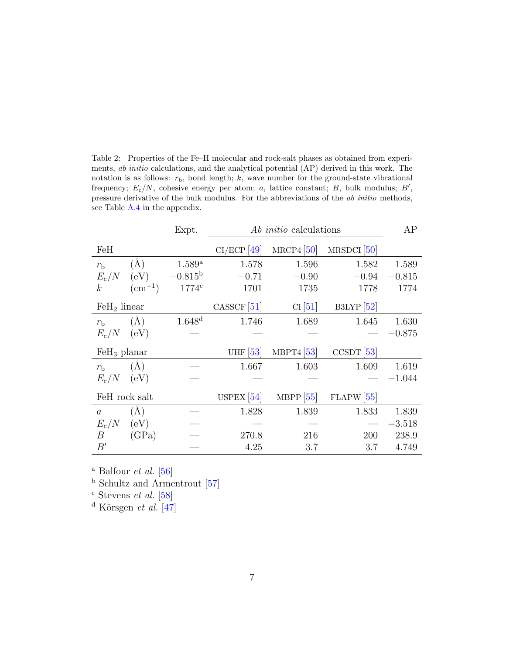<span id="page-6-0"></span>Table 2: Properties of the Fe–H molecular and rock-salt phases as obtained from experiments, ab initio calculations, and the analytical potential (AP) derived in this work. The notation is as follows:  $r<sub>b</sub>$ , bond length; k, wave number for the ground-state vibrational frequency;  $E_c/N$ , cohesive energy per atom; a, lattice constant; B, bulk modulus; B', pressure derivative of the bulk modulus. For the abbreviations of the ab initio methods, see Table [A.4](#page-17-0) in the appendix.

|                  |                 | Expt.               | <i>Ab initio</i> calculations |              |               | AP       |
|------------------|-----------------|---------------------|-------------------------------|--------------|---------------|----------|
| FeH              |                 |                     | $CI/ECP$ [49]                 | $MRCP4$ [50] | $MRSDCI$ [50] |          |
| $r_{\rm b}$      | $(\check{A})$   | $1.589^{\rm a}$     | 1.578                         | 1.596        | 1.582         | 1.589    |
| $E_{\rm c}/N$    | (eV)            | $-0.815^{\rm b}$    | $-0.71$                       | $-0.90$      | $-0.94$       | $-0.815$ |
| $\boldsymbol{k}$ | $\rm (cm^{-1})$ | $1774$ <sup>c</sup> | 1701                          | 1735         | 1778          | 1774     |
| $FeH2$ linear    |                 |                     | $CASSCF$ <sup>[51]</sup>      | CI[51]       | $B3LYP$ [52]  |          |
| $r_{\rm b}$      | $(\AA)$         | 1.648 <sup>d</sup>  | 1.746                         | 1.689        | 1.645         | 1.630    |
| $E_c/N$          | (eV)            |                     |                               |              |               | $-0.875$ |
|                  |                 |                     |                               |              |               |          |
| $FeH3$ planar    |                 |                     | UHF $[53]$                    | MBPT4 $[53]$ | $CCSDT$ [53]  |          |
| $r_{\rm b}$      | $(\AA)$         |                     | 1.667                         | 1.603        | 1.609         | 1.619    |
| $E_c/N$          | (eV)            |                     |                               |              |               | $-1.044$ |
| FeH rock salt    |                 |                     | USPEX $[54]$                  | MBPP $[55]$  | $FLAPW$ [55]  |          |
| $\overline{a}$   | (A)             |                     | 1.828                         | 1.839        | 1.833         | 1.839    |
| $E_{\rm c}/N$    | (eV)            |                     |                               |              |               | $-3.518$ |
| В                | (GPa)           |                     | 270.8                         | 216          | 200           | 238.9    |

 $^{\rm a}$  Balfour  $et$   $al.$  [\[56\]](#page-20-9)

<sup>b</sup> Schultz and Armentrout [\[57\]](#page-20-10)

 $^{\rm c}$  Stevens  ${\it et \ al.}$  [\[58\]](#page-20-11)

<sup>d</sup> Körsgen et al.  $\boxed{47}$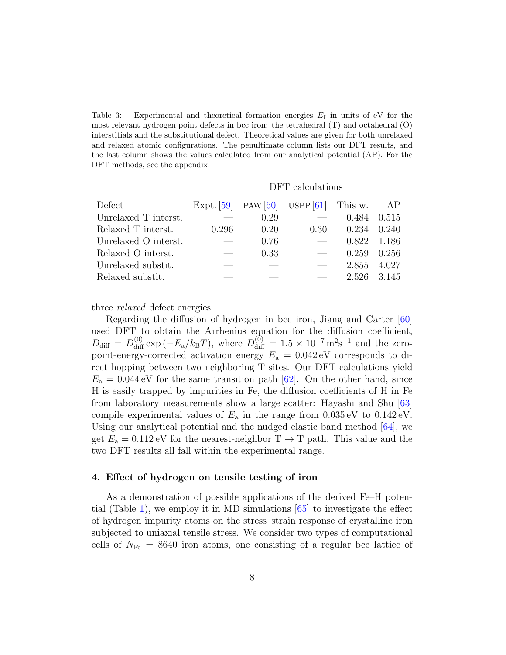<span id="page-7-1"></span>Table 3: Experimental and theoretical formation energies  $E_f$  in units of eV for the most relevant hydrogen point defects in bcc iron: the tetrahedral (T) and octahedral (O) interstitials and the substitutional defect. Theoretical values are given for both unrelaxed and relaxed atomic configurations. The penultimate column lists our DFT results, and the last column shows the values calculated from our analytical potential (AP). For the DFT methods, see the appendix.

|                      | DFT calculations |            |             |         |       |
|----------------------|------------------|------------|-------------|---------|-------|
| Defect               | Expt. $[59]$     | PAW $[60]$ | USPP $[61]$ | This w. | AP    |
| Unrelaxed T interst. |                  | 0.29       |             | 0.484   | 0.515 |
| Relaxed T interst.   | 0.296            | 0.20       | 0.30        | 0.234   | 0.240 |
| Unrelaxed O interst. |                  | 0.76       |             | 0.822   | 1.186 |
| Relaxed O interst.   |                  | 0.33       |             | 0.259   | 0.256 |
| Unrelaxed substit.   |                  |            |             | 2.855   | 4.027 |
| Relaxed substit.     |                  |            |             | 2.526   | 3.145 |

three *relaxed* defect energies.

Regarding the diffusion of hydrogen in bcc iron, Jiang and Carter [\[60\]](#page-20-12) used DFT to obtain the Arrhenius equation for the diffusion coefficient,  $D_{\text{diff}} = D_{\text{diff}}^{(0)} \exp(-E_a/k_B T)$ , where  $D_{\text{diff}}^{(\bar{0})} = 1.5 \times 10^{-7} \,\text{m}^2\text{s}^{-1}$  and the zeropoint-energy-corrected activation energy  $E_a = 0.042 \text{ eV}$  corresponds to direct hopping between two neighboring T sites. Our DFT calculations yield  $E_a = 0.044$  eV for the same transition path [\[62\]](#page-20-14). On the other hand, since H is easily trapped by impurities in Fe, the diffusion coefficients of H in Fe from laboratory measurements show a large scatter: Hayashi and Shu [\[63\]](#page-20-15) compile experimental values of  $E_a$  in the range from  $0.035 \,\text{eV}$  to  $0.142 \,\text{eV}$ . Using our analytical potential and the nudged elastic band method [\[64\]](#page-20-16), we get  $E_a = 0.112 \text{ eV}$  for the nearest-neighbor  $T \rightarrow T$  path. This value and the two DFT results all fall within the experimental range.

#### <span id="page-7-0"></span>4. Effect of hydrogen on tensile testing of iron

As a demonstration of possible applications of the derived Fe–H potential (Table [1\)](#page-4-1), we employ it in MD simulations [\[65\]](#page-20-17) to investigate the effect of hydrogen impurity atoms on the stress–strain response of crystalline iron subjected to uniaxial tensile stress. We consider two types of computational cells of  $N_{\text{Fe}} = 8640$  iron atoms, one consisting of a regular bcc lattice of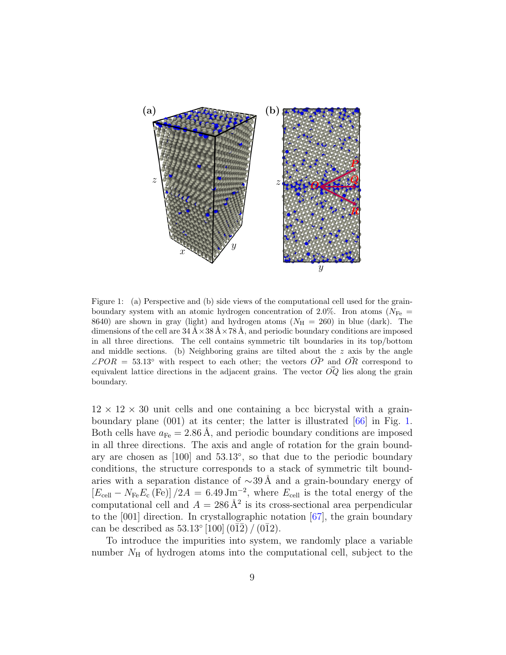

<span id="page-8-0"></span>Figure 1: (a) Perspective and (b) side views of the computational cell used for the grainboundary system with an atomic hydrogen concentration of 2.0%. Iron atoms ( $N_{\text{Fe}}$  = 8640) are shown in gray (light) and hydrogen atoms  $(N_H = 260)$  in blue (dark). The dimensions of the cell are  $34 \text{ Å} \times 38 \text{ Å} \times 78 \text{ Å}$ , and periodic boundary conditions are imposed in all three directions. The cell contains symmetric tilt boundaries in its top/bottom and middle sections. (b) Neighboring grains are tilted about the  $z$  axis by the angle  $\angle POR = 53.13°$  with respect to each other; the vectors  $\overrightarrow{OP}$  and  $\overrightarrow{OR}$  correspond to equivalent lattice directions in the adjacent grains. The vector  $\overrightarrow{OQ}$  lies along the grain boundary.

 $12 \times 12 \times 30$  unit cells and one containing a bcc bicrystal with a grainboundary plane (001) at its center; the latter is illustrated [\[66\]](#page-21-0) in Fig. [1.](#page-8-0) Both cells have  $a_{Fe} = 2.86$  Å, and periodic boundary conditions are imposed in all three directions. The axis and angle of rotation for the grain boundary are chosen as [100] and 53.13◦ , so that due to the periodic boundary conditions, the structure corresponds to a stack of symmetric tilt boundaries with a separation distance of  $\sim$ 39 Å and a grain-boundary energy of  $[E_{cell} - N_{Fe}E_c$  (Fe)]  $/2A = 6.49 \,\mathrm{Jm^{-2}}$ , where  $E_{cell}$  is the total energy of the computational cell and  $A = 286 \text{ Å}^2$  is its cross-sectional area perpendicular to the [001] direction. In crystallographic notation [\[67\]](#page-21-1), the grain boundary can be described as  $53.13^{\circ} [100] (0\overline{1}\overline{2}) / (0\overline{1}2)$ .

To introduce the impurities into system, we randomly place a variable number  $N_{\rm H}$  of hydrogen atoms into the computational cell, subject to the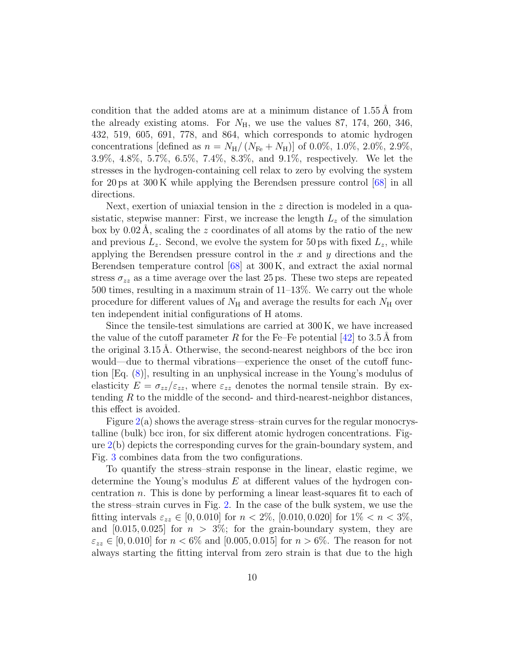condition that the added atoms are at a minimum distance of  $1.55 \text{ Å}$  from the already existing atoms. For  $N_{\rm H}$ , we use the values 87, 174, 260, 346, 432, 519, 605, 691, 778, and 864, which corresponds to atomic hydrogen concentrations [defined as  $n = N_{\rm H}/(N_{\rm Fe} + N_{\rm H})$ ] of 0.0%, 1.0%, 2.0%, 2.9%, 3.9%, 4.8%, 5.7%, 6.5%, 7.4%, 8.3%, and 9.1%, respectively. We let the stresses in the hydrogen-containing cell relax to zero by evolving the system for 20 ps at 300 K while applying the Berendsen pressure control [\[68\]](#page-21-2) in all directions.

Next, exertion of uniaxial tension in the z direction is modeled in a quasistatic, stepwise manner: First, we increase the length  $L<sub>z</sub>$  of the simulation box by  $0.02 \text{ Å}$ , scaling the z coordinates of all atoms by the ratio of the new and previous  $L_z$ . Second, we evolve the system for 50 ps with fixed  $L_z$ , while applying the Berendsen pressure control in the  $x$  and  $y$  directions and the Berendsen temperature control [\[68\]](#page-21-2) at 300 K, and extract the axial normal stress  $\sigma_{zz}$  as a time average over the last 25 ps. These two steps are repeated 500 times, resulting in a maximum strain of 11–13%. We carry out the whole procedure for different values of  $N_{\rm H}$  and average the results for each  $N_{\rm H}$  over ten independent initial configurations of H atoms.

Since the tensile-test simulations are carried at 300 K, we have increased the value of the cutoff parameter R for the Fe–Fe potential  $[42]$  to 3.5 Å from the original  $3.15 \text{ Å}$ . Otherwise, the second-nearest neighbors of the bcc iron would—due to thermal vibrations—experience the onset of the cutoff function [Eq. [\(8\)](#page-3-1)], resulting in an unphysical increase in the Young's modulus of elasticity  $E = \sigma_{zz}/\varepsilon_{zz}$ , where  $\varepsilon_{zz}$  denotes the normal tensile strain. By extending R to the middle of the second- and third-nearest-neighbor distances, this effect is avoided.

Figure  $2(a)$  $2(a)$  shows the average stress-strain curves for the regular monocrystalline (bulk) bcc iron, for six different atomic hydrogen concentrations. Figure [2\(](#page-10-0)b) depicts the corresponding curves for the grain-boundary system, and Fig. [3](#page-11-0) combines data from the two configurations.

To quantify the stress–strain response in the linear, elastic regime, we determine the Young's modulus  $E$  at different values of the hydrogen concentration n. This is done by performing a linear least-squares fit to each of the stress–strain curves in Fig. [2.](#page-10-0) In the case of the bulk system, we use the fitting intervals  $\varepsilon_{zz} \in [0, 0.010]$  for  $n < 2\%$ , [0.010, 0.020] for  $1\% < n < 3\%$ , and  $[0.015, 0.025]$  for  $n > 3\%$ ; for the grain-boundary system, they are  $\varepsilon_{zz} \in [0, 0.010]$  for  $n < 6\%$  and  $[0.005, 0.015]$  for  $n > 6\%$ . The reason for not always starting the fitting interval from zero strain is that due to the high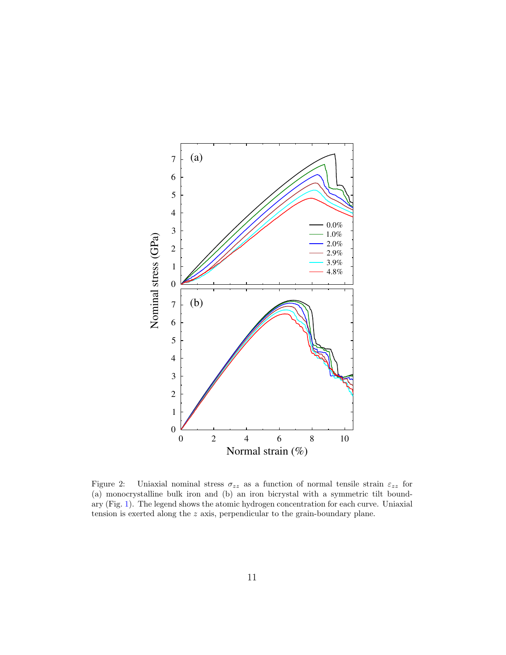

<span id="page-10-0"></span>Figure 2: Uniaxial nominal stress  $\sigma_{zz}$  as a function of normal tensile strain  $\varepsilon_{zz}$  for (a) monocrystalline bulk iron and (b) an iron bicrystal with a symmetric tilt boundary (Fig. [1\)](#page-8-0). The legend shows the atomic hydrogen concentration for each curve. Uniaxial tension is exerted along the z axis, perpendicular to the grain-boundary plane.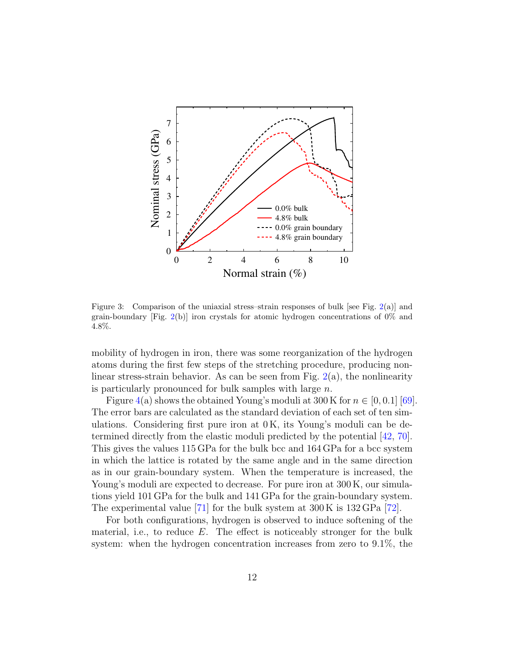

<span id="page-11-0"></span>Figure 3: Comparison of the uniaxial stress–strain responses of bulk [see Fig.  $2(a)$  $2(a)$ ] and grain-boundary [Fig. [2\(](#page-10-0)b)] iron crystals for atomic hydrogen concentrations of  $0\%$  and 4.8%.

mobility of hydrogen in iron, there was some reorganization of the hydrogen atoms during the first few steps of the stretching procedure, producing nonlinear stress-strain behavior. As can be seen from Fig.  $2(a)$  $2(a)$ , the nonlinearity is particularly pronounced for bulk samples with large n.

Figure [4\(](#page-13-0)a) shows the obtained Young's moduli at 300 K for  $n \in [0, 0.1]$  [\[69\]](#page-21-3). The error bars are calculated as the standard deviation of each set of ten simulations. Considering first pure iron at  $0K$ , its Young's moduli can be determined directly from the elastic moduli predicted by the potential [\[42,](#page-19-10) [70\]](#page-21-4). This gives the values 115 GPa for the bulk bcc and 164 GPa for a bcc system in which the lattice is rotated by the same angle and in the same direction as in our grain-boundary system. When the temperature is increased, the Young's moduli are expected to decrease. For pure iron at  $300 \text{ K}$ , our simulations yield 101 GPa for the bulk and 141 GPa for the grain-boundary system. The experimental value [\[71\]](#page-21-5) for the bulk system at 300 K is 132 GPa [\[72\]](#page-21-6).

For both configurations, hydrogen is observed to induce softening of the material, i.e., to reduce  $E$ . The effect is noticeably stronger for the bulk system: when the hydrogen concentration increases from zero to 9.1%, the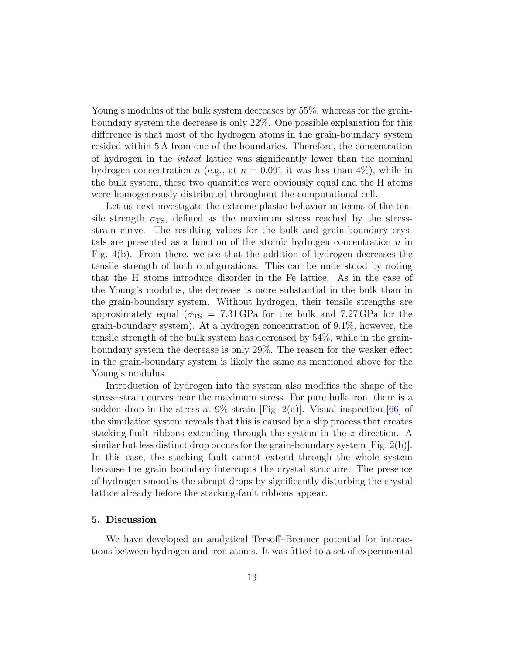Young's modulus of the bulk system decreases by 55%, whereas for the grainboundary system the decrease is only 22%. One possible explanation for this difference is that most of the hydrogen atoms in the grain-boundary system resided within  $5\,\text{\AA}$  from one of the boundaries. Therefore, the concentration of hydrogen in the intact lattice was significantly lower than the nominal hydrogen concentration n (e.g., at  $n = 0.091$  it was less than 4%), while in the bulk system, these two quantities were obviously equal and the H atoms were homogeneously distributed throughout the computational cell.

Let us next investigate the extreme plastic behavior in terms of the tensile strength  $\sigma_{\rm TS}$ , defined as the maximum stress reached by the stressstrain curve. The resulting values for the bulk and grain-boundary crystals are presented as a function of the atomic hydrogen concentration  $n$  in Fig. [4\(](#page-13-0)b). From there, we see that the addition of hydrogen decreases the tensile strength of both configurations. This can be understood by noting that the H atoms introduce disorder in the Fe lattice. As in the case of the Young's modulus, the decrease is more substantial in the bulk than in the grain-boundary system. Without hydrogen, their tensile strengths are approximately equal ( $\sigma_{TS}$  = 7.31 GPa for the bulk and 7.27 GPa for the grain-boundary system). At a hydrogen concentration of 9.1%, however, the tensile strength of the bulk system has decreased by 54%, while in the grainboundary system the decrease is only 29%. The reason for the weaker effect in the grain-boundary system is likely the same as mentioned above for the Young's modulus.

Introduction of hydrogen into the system also modifies the shape of the stress–strain curves near the maximum stress. For pure bulk iron, there is a sudden drop in the stress at 9% strain [Fig. [2\(](#page-10-0)a)]. Visual inspection [\[66\]](#page-21-0) of the simulation system reveals that this is caused by a slip process that creates stacking-fault ribbons extending through the system in the z direction. A similar but less distinct drop occurs for the grain-boundary system  $[Fig. 2(b)].$  $[Fig. 2(b)].$  $[Fig. 2(b)].$ In this case, the stacking fault cannot extend through the whole system because the grain boundary interrupts the crystal structure. The presence of hydrogen smooths the abrupt drops by significantly disturbing the crystal lattice already before the stacking-fault ribbons appear.

#### <span id="page-12-0"></span>5. Discussion

We have developed an analytical Tersoff–Brenner potential for interactions between hydrogen and iron atoms. It was fitted to a set of experimental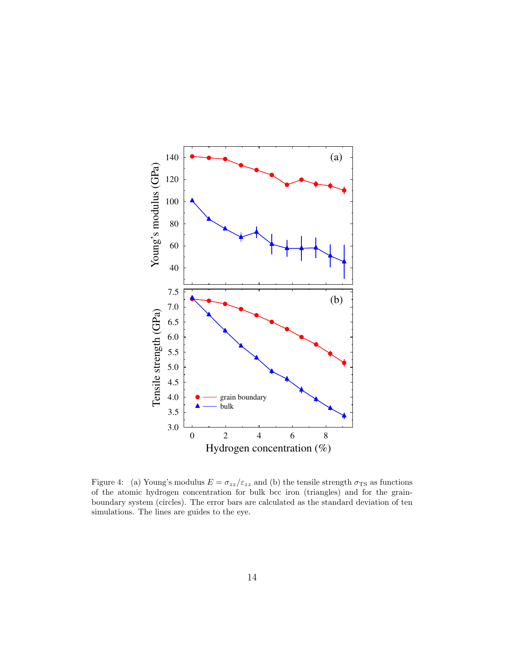

<span id="page-13-0"></span>Figure 4: (a) Young's modulus  $E = \sigma_{zz}/\varepsilon_{zz}$  and (b) the tensile strength  $\sigma_{TS}$  as functions of the atomic hydrogen concentration for bulk bcc iron (triangles) and for the grainboundary system (circles). The error bars are calculated as the standard deviation of ten simulations. The lines are guides to the eye.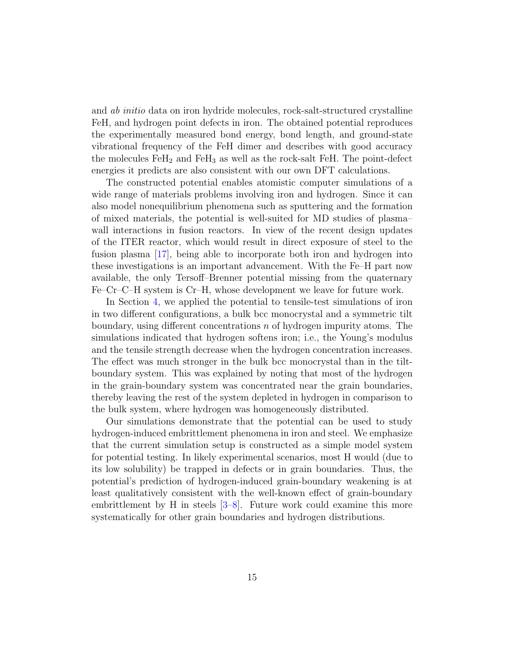and ab initio data on iron hydride molecules, rock-salt-structured crystalline FeH, and hydrogen point defects in iron. The obtained potential reproduces the experimentally measured bond energy, bond length, and ground-state vibrational frequency of the FeH dimer and describes with good accuracy the molecules  $FeH<sub>2</sub>$  and  $FeH<sub>3</sub>$  as well as the rock-salt FeH. The point-defect energies it predicts are also consistent with our own DFT calculations.

The constructed potential enables atomistic computer simulations of a wide range of materials problems involving iron and hydrogen. Since it can also model nonequilibrium phenomena such as sputtering and the formation of mixed materials, the potential is well-suited for MD studies of plasma– wall interactions in fusion reactors. In view of the recent design updates of the ITER reactor, which would result in direct exposure of steel to the fusion plasma [\[17\]](#page-18-0), being able to incorporate both iron and hydrogen into these investigations is an important advancement. With the Fe–H part now available, the only Tersoff–Brenner potential missing from the quaternary Fe–Cr–C–H system is Cr–H, whose development we leave for future work.

In Section [4,](#page-7-0) we applied the potential to tensile-test simulations of iron in two different configurations, a bulk bcc monocrystal and a symmetric tilt boundary, using different concentrations n of hydrogen impurity atoms. The simulations indicated that hydrogen softens iron; i.e., the Young's modulus and the tensile strength decrease when the hydrogen concentration increases. The effect was much stronger in the bulk bcc monocrystal than in the tiltboundary system. This was explained by noting that most of the hydrogen in the grain-boundary system was concentrated near the grain boundaries, thereby leaving the rest of the system depleted in hydrogen in comparison to the bulk system, where hydrogen was homogeneously distributed.

Our simulations demonstrate that the potential can be used to study hydrogen-induced embrittlement phenomena in iron and steel. We emphasize that the current simulation setup is constructed as a simple model system for potential testing. In likely experimental scenarios, most H would (due to its low solubility) be trapped in defects or in grain boundaries. Thus, the potential's prediction of hydrogen-induced grain-boundary weakening is at least qualitatively consistent with the well-known effect of grain-boundary embrittlement by H in steels [\[3](#page-16-6)[–8\]](#page-16-1). Future work could examine this more systematically for other grain boundaries and hydrogen distributions.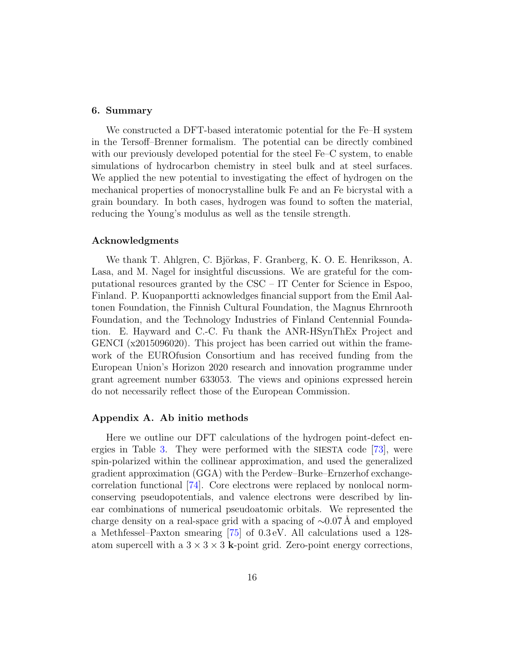#### <span id="page-15-0"></span>6. Summary

We constructed a DFT-based interatomic potential for the Fe–H system in the Tersoff–Brenner formalism. The potential can be directly combined with our previously developed potential for the steel Fe–C system, to enable simulations of hydrocarbon chemistry in steel bulk and at steel surfaces. We applied the new potential to investigating the effect of hydrogen on the mechanical properties of monocrystalline bulk Fe and an Fe bicrystal with a grain boundary. In both cases, hydrogen was found to soften the material, reducing the Young's modulus as well as the tensile strength.

#### Acknowledgments

We thank T. Ahlgren, C. Björkas, F. Granberg, K. O. E. Henriksson, A. Lasa, and M. Nagel for insightful discussions. We are grateful for the computational resources granted by the CSC – IT Center for Science in Espoo, Finland. P. Kuopanportti acknowledges financial support from the Emil Aaltonen Foundation, the Finnish Cultural Foundation, the Magnus Ehrnrooth Foundation, and the Technology Industries of Finland Centennial Foundation. E. Hayward and C.-C. Fu thank the ANR-HSynThEx Project and GENCI (x2015096020). This project has been carried out within the framework of the EUROfusion Consortium and has received funding from the European Union's Horizon 2020 research and innovation programme under grant agreement number 633053. The views and opinions expressed herein do not necessarily reflect those of the European Commission.

### Appendix A. Ab initio methods

Here we outline our DFT calculations of the hydrogen point-defect energies in Table [3.](#page-7-1) They were performed with the SIESTA code [\[73\]](#page-21-7), were spin-polarized within the collinear approximation, and used the generalized gradient approximation (GGA) with the Perdew–Burke–Ernzerhof exchangecorrelation functional [\[74\]](#page-21-8). Core electrons were replaced by nonlocal normconserving pseudopotentials, and valence electrons were described by linear combinations of numerical pseudoatomic orbitals. We represented the charge density on a real-space grid with a spacing of  $\sim 0.07$  Å and employed a Methfessel–Paxton smearing [\[75\]](#page-21-9) of 0.3 eV. All calculations used a 128 atom supercell with a  $3 \times 3 \times 3$  k-point grid. Zero-point energy corrections,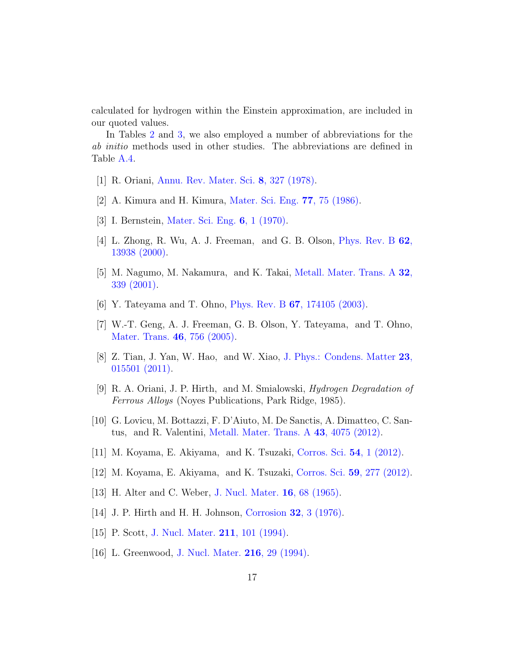calculated for hydrogen within the Einstein approximation, are included in our quoted values.

In Tables [2](#page-6-0) and [3,](#page-7-1) we also employed a number of abbreviations for the ab initio methods used in other studies. The abbreviations are defined in Table [A.4.](#page-17-0)

- <span id="page-16-0"></span>[1] R. Oriani, [Annu. Rev. Mater. Sci.](http://dx.doi.org/10.1146/annurev.ms.08.080178.001551) 8, 327 (1978).
- [2] A. Kimura and H. Kimura, [Mater. Sci. Eng.](http://dx.doi.org/10.1016/0025-5416(86)90355-1) 77, 75 (1986).
- <span id="page-16-6"></span>[3] I. Bernstein, [Mater. Sci. Eng.](http://dx.doi.org/10.1016/0025-5416(70)90073-X) 6, 1 (1970).
- [4] L. Zhong, R. Wu, A. J. Freeman, and G. B. Olson, [Phys. Rev. B](http://dx.doi.org/ 10.1103/PhysRevB.62.13938) 62, [13938 \(2000\).](http://dx.doi.org/ 10.1103/PhysRevB.62.13938)
- [5] M. Nagumo, M. Nakamura, and K. Takai, [Metall. Mater. Trans. A](http://dx.doi.org/10.1007/s11661-001-0265-9) 32, [339 \(2001\).](http://dx.doi.org/10.1007/s11661-001-0265-9)
- [6] Y. Tateyama and T. Ohno, Phys. Rev. B 67[, 174105 \(2003\).](http://dx.doi.org/10.1103/PhysRevB.67.174105)
- [7] W.-T. Geng, A. J. Freeman, G. B. Olson, Y. Tateyama, and T. Ohno, [Mater. Trans.](http://dx.doi.org/ 10.2320/matertrans.46.756) 46, 756 (2005).
- <span id="page-16-1"></span>[8] Z. Tian, J. Yan, W. Hao, and W. Xiao, [J. Phys.: Condens. Matter](http://dx.doi.org/ 10.1088/0953-8984/23/1/015501) 23, [015501 \(2011\).](http://dx.doi.org/ 10.1088/0953-8984/23/1/015501)
- <span id="page-16-2"></span>[9] R. A. Oriani, J. P. Hirth, and M. Smialowski, Hydrogen Degradation of Ferrous Alloys (Noyes Publications, Park Ridge, 1985).
- [10] G. Lovicu, M. Bottazzi, F. D'Aiuto, M. De Sanctis, A. Dimatteo, C. Santus, and R. Valentini, [Metall. Mater. Trans. A](http://dx.doi.org/ 10.1007/s11661-012-1280-8) 43, 4075 (2012).
- [11] M. Koyama, E. Akiyama, and K. Tsuzaki, [Corros. Sci.](http://dx.doi.org/10.1016/j.corsci.2011.09.022) 54, 1 (2012).
- <span id="page-16-3"></span>[12] M. Koyama, E. Akiyama, and K. Tsuzaki, Corros. Sci. 59[, 277 \(2012\).](http://dx.doi.org/10.1016/j.corsci.2012.03.009)
- <span id="page-16-4"></span>[13] H. Alter and C. Weber, [J. Nucl. Mater.](http://dx.doi.org/10.1016/0022-3115(65)90094-2) 16, 68 (1965).
- [14] J. P. Hirth and H. H. Johnson, Corrosion 32[, 3 \(1976\).](http://dx.doi.org/10.5006/0010-9312-32.1.3)
- [15] P. Scott, [J. Nucl. Mater.](http://dx.doi.org/10.1016/0022-3115(94)90360-3) **211**, 101 (1994).
- <span id="page-16-5"></span>[16] L. Greenwood, [J. Nucl. Mater.](http://dx.doi.org/10.1016/0022-3115(94)90004-3) 216, 29 (1994).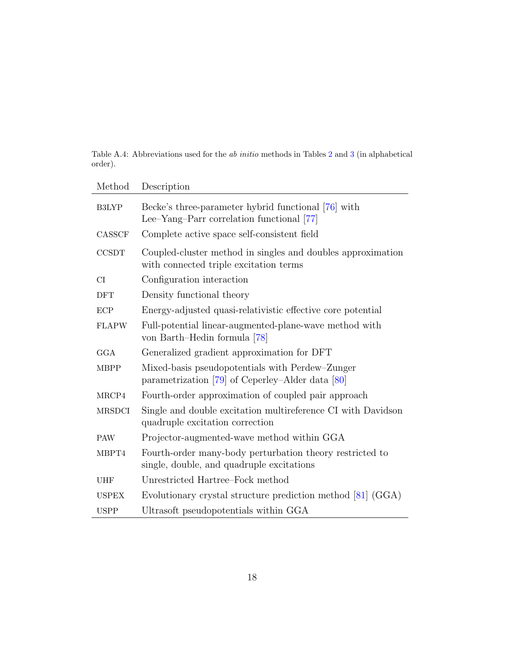<span id="page-17-0"></span>Table A.4: Abbreviations used for the ab initio methods in Tables [2](#page-6-0) and [3](#page-7-1) (in alphabetical order).

| Method        | Description                                                                                           |
|---------------|-------------------------------------------------------------------------------------------------------|
| <b>B3LYP</b>  | Becke's three-parameter hybrid functional [76] with<br>Lee–Yang–Parr correlation functional [77]      |
| CASSCF        | Complete active space self-consistent field                                                           |
| <b>CCSDT</b>  | Coupled-cluster method in singles and doubles approximation<br>with connected triple excitation terms |
| CI            | Configuration interaction                                                                             |
| <b>DFT</b>    | Density functional theory                                                                             |
| ECP           | Energy-adjusted quasi-relativistic effective core potential                                           |
| <b>FLAPW</b>  | Full-potential linear-augmented-plane-wave method with<br>von Barth–Hedin formula [78]                |
| GGA           | Generalized gradient approximation for DFT                                                            |
| <b>MBPP</b>   | Mixed-basis pseudopotentials with Perdew-Zunger<br>parametrization [79] of Ceperley-Alder data $[80]$ |
| MRCP4         | Fourth-order approximation of coupled pair approach                                                   |
| <b>MRSDCI</b> | Single and double excitation multireference CI with Davidson<br>quadruple excitation correction       |
| <b>PAW</b>    | Projector-augmented-wave method within GGA                                                            |
| MBPT4         | Fourth-order many-body perturbation theory restricted to<br>single, double, and quadruple excitations |
| <b>UHF</b>    | Unrestricted Hartree–Fock method                                                                      |
| <b>USPEX</b>  | Evolutionary crystal structure prediction method [81] (GGA)                                           |
| <b>USPP</b>   | Ultrasoft pseudopotentials within GGA                                                                 |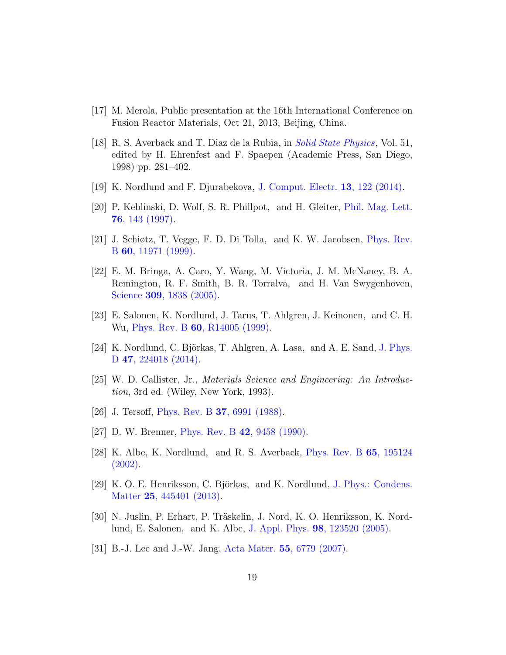- <span id="page-18-0"></span>[17] M. Merola, Public presentation at the 16th International Conference on Fusion Reactor Materials, Oct 21, 2013, Beijing, China.
- <span id="page-18-1"></span>[18] R. S. Averback and T. Diaz de la Rubia, in [Solid State Physics](http://dx.doi.org/10.1016/S0081-1947(08)60193-9), Vol. 51, edited by H. Ehrenfest and F. Spaepen (Academic Press, San Diego, 1998) pp. 281–402.
- <span id="page-18-2"></span>[19] K. Nordlund and F. Djurabekova, [J. Comput. Electr.](http://dx.doi.org/10.1007/s10825-013-0542-z) 13, 122 (2014).
- <span id="page-18-3"></span>[20] P. Keblinski, D. Wolf, S. R. Phillpot, and H. Gleiter, [Phil. Mag. Lett.](http://dx.doi.org/10.1080/095008397179093) 76[, 143 \(1997\).](http://dx.doi.org/10.1080/095008397179093)
- [21] J. Schiøtz, T. Vegge, F. D. Di Tolla, and K. W. Jacobsen, [Phys. Rev.](http://dx.doi.org/10.1103/PhysRevB.60.11971) B 60[, 11971 \(1999\).](http://dx.doi.org/10.1103/PhysRevB.60.11971)
- <span id="page-18-4"></span>[22] E. M. Bringa, A. Caro, Y. Wang, M. Victoria, J. M. McNaney, B. A. Remington, R. F. Smith, B. R. Torralva, and H. Van Swygenhoven, Science **309**[, 1838 \(2005\).](http://dx.doi.org/ 10.1126/science.1116723)
- <span id="page-18-5"></span>[23] E. Salonen, K. Nordlund, J. Tarus, T. Ahlgren, J. Keinonen, and C. H. Wu, Phys. Rev. B **60**[, R14005 \(1999\).](http://dx.doi.org/ 10.1103/PhysRevB.60.R14005)
- <span id="page-18-6"></span>[24] K. Nordlund, C. Björkas, T. Ahlgren, A. Lasa, and A. E. Sand, [J. Phys.](http://dx.doi.org/10.1088/0022-3727/47/22/224018) D 47[, 224018 \(2014\).](http://dx.doi.org/10.1088/0022-3727/47/22/224018)
- <span id="page-18-7"></span>[25] W. D. Callister, Jr., Materials Science and Engineering: An Introduction, 3rd ed. (Wiley, New York, 1993).
- <span id="page-18-8"></span>[26] J. Tersoff, Phys. Rev. B 37[, 6991 \(1988\).](http://dx.doi.org/10.1103/PhysRevB.37.6991)
- <span id="page-18-11"></span>[27] D. W. Brenner, Phys. Rev. B 42[, 9458 \(1990\).](http://dx.doi.org/10.1103/PhysRevB.42.9458)
- <span id="page-18-9"></span>[28] K. Albe, K. Nordlund, and R. S. Averback, [Phys. Rev. B](http://dx.doi.org/10.1103/PhysRevB.65.195124) 65, 195124 [\(2002\).](http://dx.doi.org/10.1103/PhysRevB.65.195124)
- <span id="page-18-10"></span>[29] K. O. E. Henriksson, C. Björkas, and K. Nordlund, [J. Phys.: Condens.](http://dx.doi.org/ doi:10.1088/0953-8984/25/44/445401) Matter 25[, 445401 \(2013\).](http://dx.doi.org/ doi:10.1088/0953-8984/25/44/445401)
- <span id="page-18-12"></span>[30] N. Juslin, P. Erhart, P. Träskelin, J. Nord, K. O. Henriksson, K. Nordlund, E. Salonen, and K. Albe, J. Appl. Phys. 98[, 123520 \(2005\).](http://dx.doi.org/ 10.1063/1.2149492)
- <span id="page-18-13"></span>[31] B.-J. Lee and J.-W. Jang, Acta Mater. 55[, 6779 \(2007\).](http://dx.doi.org/10.1016/j.actamat.2007.08.041)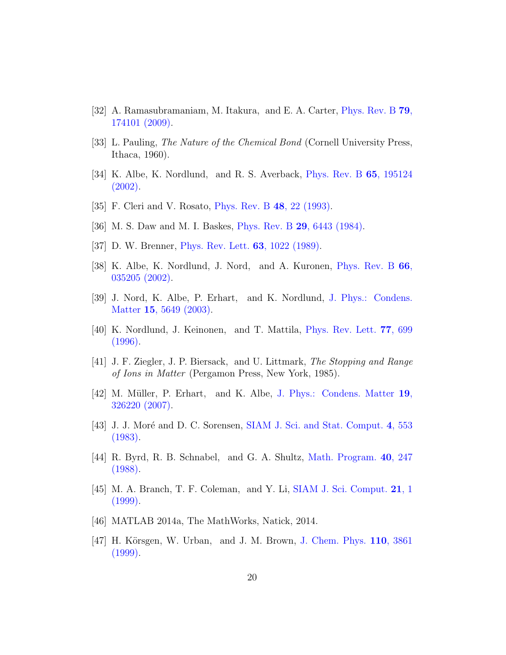- <span id="page-19-0"></span>[32] A. Ramasubramaniam, M. Itakura, and E. A. Carter, [Phys. Rev. B](http://dx.doi.org/10.1103/PhysRevB.79.174101) 79, [174101 \(2009\).](http://dx.doi.org/10.1103/PhysRevB.79.174101)
- <span id="page-19-1"></span>[33] L. Pauling, The Nature of the Chemical Bond (Cornell University Press, Ithaca, 1960).
- <span id="page-19-2"></span>[34] K. Albe, K. Nordlund, and R. S. Averback, [Phys. Rev. B](http://dx.doi.org/10.1103/PhysRevB.65.195124) 65, 195124 [\(2002\).](http://dx.doi.org/10.1103/PhysRevB.65.195124)
- <span id="page-19-3"></span>[35] F. Cleri and V. Rosato, [Phys. Rev. B](http://dx.doi.org/10.1103/PhysRevB.48.22) 48, 22 (1993).
- <span id="page-19-4"></span>[36] M. S. Daw and M. I. Baskes, Phys. Rev. B 29[, 6443 \(1984\).](http://dx.doi.org/10.1103/PhysRevB.29.6443)
- <span id="page-19-5"></span>[37] D. W. Brenner, [Phys. Rev. Lett.](http://dx.doi.org/10.1103/PhysRevLett.63.1022) **63**, 1022 (1989).
- <span id="page-19-6"></span>[38] K. Albe, K. Nordlund, J. Nord, and A. Kuronen, [Phys. Rev. B](http://dx.doi.org/ 10.1103/PhysRevB.66.035205) 66, [035205 \(2002\).](http://dx.doi.org/ 10.1103/PhysRevB.66.035205)
- <span id="page-19-7"></span>[39] J. Nord, K. Albe, P. Erhart, and K. Nordlund, [J. Phys.: Condens.](http://dx.doi.org/ 10.1088/0953-8984/15/32/324) Matter 15[, 5649 \(2003\).](http://dx.doi.org/ 10.1088/0953-8984/15/32/324)
- <span id="page-19-8"></span>[40] K. Nordlund, J. Keinonen, and T. Mattila, [Phys. Rev. Lett.](http://dx.doi.org/10.1103/PhysRevLett.77.699) 77, 699 [\(1996\).](http://dx.doi.org/10.1103/PhysRevLett.77.699)
- <span id="page-19-9"></span>[41] J. F. Ziegler, J. P. Biersack, and U. Littmark, The Stopping and Range of Ions in Matter (Pergamon Press, New York, 1985).
- <span id="page-19-10"></span>[42] M. M¨uller, P. Erhart, and K. Albe, [J. Phys.: Condens. Matter](http://dx.doi.org/10.1088/0953-8984/19/32/326220) 19, [326220 \(2007\).](http://dx.doi.org/10.1088/0953-8984/19/32/326220)
- <span id="page-19-11"></span> $[43]$  J. J. Moré and D. C. Sorensen, [SIAM J. Sci. and Stat. Comput.](http://dx.doi.org/10.1137/0904038) 4, 553 [\(1983\).](http://dx.doi.org/10.1137/0904038)
- [44] R. Byrd, R. B. Schnabel, and G. A. Shultz, [Math. Program.](http://dx.doi.org/10.1007/BF01580735) 40, 247 [\(1988\).](http://dx.doi.org/10.1007/BF01580735)
- <span id="page-19-12"></span>[45] M. A. Branch, T. F. Coleman, and Y. Li, [SIAM J. Sci. Comput.](http://dx.doi.org/10.1137/S1064827595289108) 21, 1 [\(1999\).](http://dx.doi.org/10.1137/S1064827595289108)
- <span id="page-19-13"></span>[46] MATLAB 2014a, The MathWorks, Natick, 2014.
- <span id="page-19-14"></span>[47] H. Körsgen, W. Urban, and J. M. Brown, [J. Chem. Phys.](http://dx.doi.org/10.1063/1.478240) 110, 3861 [\(1999\).](http://dx.doi.org/10.1063/1.478240)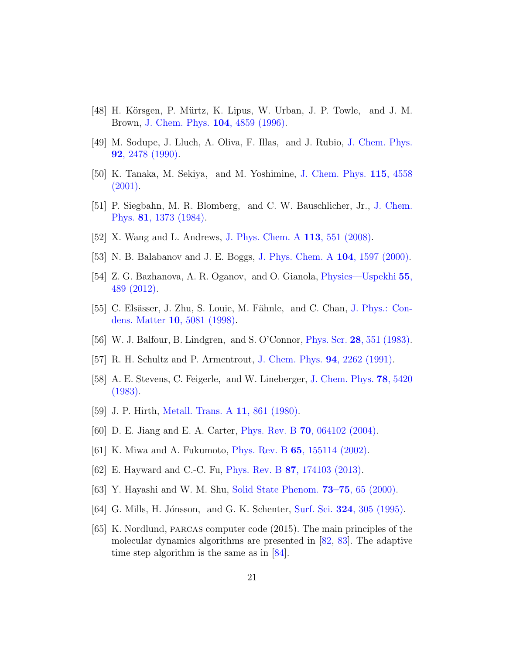- <span id="page-20-0"></span>[48] H. Körsgen, P. Mürtz, K. Lipus, W. Urban, J. P. Towle, and J. M. Brown, [J. Chem. Phys.](http://dx.doi.org/ 10.1063/1.471180) 104, 4859 (1996).
- <span id="page-20-2"></span>[49] M. Sodupe, J. Lluch, A. Oliva, F. Illas, and J. Rubio, [J. Chem. Phys.](http://dx.doi.org/ 10.1063/1.458583) 92[, 2478 \(1990\).](http://dx.doi.org/ 10.1063/1.458583)
- <span id="page-20-3"></span>[50] K. Tanaka, M. Sekiya, and M. Yoshimine, [J. Chem. Phys.](http://dx.doi.org/10.1063/1.1390508) 115, 4558 [\(2001\).](http://dx.doi.org/10.1063/1.1390508)
- <span id="page-20-4"></span>[51] P. Siegbahn, M. R. Blomberg, and C. W. Bauschlicher, Jr., [J. Chem.](http://dx.doi.org/10.1063/1.447771) Phys. 81[, 1373 \(1984\).](http://dx.doi.org/10.1063/1.447771)
- <span id="page-20-5"></span>[52] X. Wang and L. Andrews, [J. Phys. Chem. A](http://dx.doi.org/10.1021/jp806845h) 113, 551 (2008).
- <span id="page-20-6"></span>[53] N. B. Balabanov and J. E. Boggs, [J. Phys. Chem. A](http://dx.doi.org/10.1021/jp9933774) 104, 1597 (2000).
- <span id="page-20-7"></span>[54] Z. G. Bazhanova, A. R. Oganov, and O. Gianola, [Physics—Uspekhi](http://dx.doi.org/10.3367/UFNe.0182.201205c.0521) 55, [489 \(2012\).](http://dx.doi.org/10.3367/UFNe.0182.201205c.0521)
- <span id="page-20-8"></span>[55] C. Elsässer, J. Zhu, S. Louie, M. Fähnle, and C. Chan, [J. Phys.: Con](http://dx.doi.org/ 10.1088/0953-8984/10/23/012)dens. Matter 10[, 5081 \(1998\).](http://dx.doi.org/ 10.1088/0953-8984/10/23/012)
- <span id="page-20-9"></span>[56] W. J. Balfour, B. Lindgren, and S. O'Connor, Phys. Scr. 28[, 551 \(1983\).](http://dx.doi.org/10.1088/0031-8949/28/5/007)
- <span id="page-20-10"></span>[57] R. H. Schultz and P. Armentrout, [J. Chem. Phys.](http://dx.doi.org/10.1063/1.459897) 94, 2262 (1991).
- <span id="page-20-11"></span>[58] A. E. Stevens, C. Feigerle, and W. Lineberger, [J. Chem. Phys.](http://dx.doi.org/10.1063/1.445470) 78, 5420 [\(1983\).](http://dx.doi.org/10.1063/1.445470)
- <span id="page-20-1"></span>[59] J. P. Hirth, [Metall. Trans. A](http://dx.doi.org/10.1007/BF02654700) 11, 861 (1980).
- <span id="page-20-12"></span>[60] D. E. Jiang and E. A. Carter, Phys. Rev. B 70[, 064102 \(2004\).](http://dx.doi.org/10.1103/PhysRevB.70.064102)
- <span id="page-20-13"></span>[61] K. Miwa and A. Fukumoto, Phys. Rev. B 65[, 155114 \(2002\).](http://dx.doi.org/10.1103/PhysRevB.65.155114)
- <span id="page-20-14"></span>[62] E. Hayward and C.-C. Fu, Phys. Rev. B 87[, 174103 \(2013\).](http://dx.doi.org/10.1103/PhysRevB.87.174103)
- <span id="page-20-15"></span>[63] Y. Hayashi and W. M. Shu, [Solid State Phenom.](http://dx.doi.org/10.4028/www.scientific.net/SSP.73-75.65) 73–75, 65 (2000).
- <span id="page-20-16"></span>[64] G. Mills, H. Jónsson, and G. K. Schenter, Surf. Sci. **324**[, 305 \(1995\).](http://dx.doi.org/10.1016/0039-6028(94)00731-4)
- <span id="page-20-17"></span>[65] K. Nordlund, parcas computer code (2015). The main principles of the molecular dynamics algorithms are presented in [\[82,](#page-22-0) [83\]](#page-22-1). The adaptive time step algorithm is the same as in [\[84\]](#page-22-2).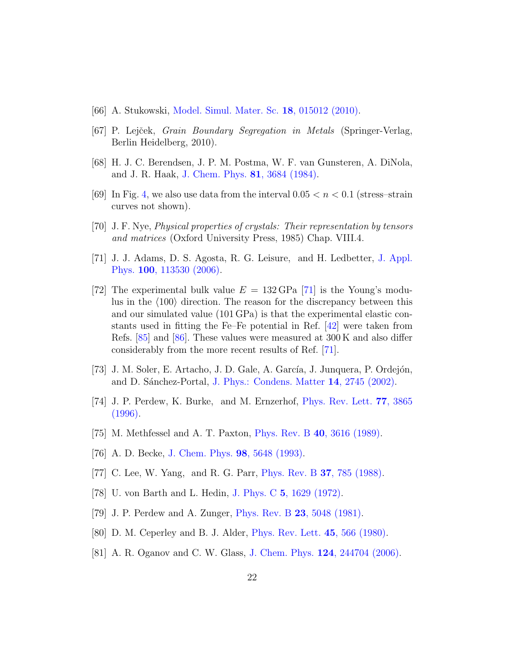- <span id="page-21-0"></span>[66] A. Stukowski, [Model. Simul. Mater. Sc.](http://dx.doi.org/10.1088/0965-0393/18/1/015012) 18, 015012 (2010).
- <span id="page-21-1"></span>[67] P. Lejček, *Grain Boundary Segregation in Metals* (Springer-Verlag, Berlin Heidelberg, 2010).
- <span id="page-21-2"></span>[68] H. J. C. Berendsen, J. P. M. Postma, W. F. van Gunsteren, A. DiNola, and J. R. Haak, [J. Chem. Phys.](http://dx.doi.org/10.1063/1.448118) 81, 3684 (1984).
- <span id="page-21-3"></span>[69] In Fig. [4,](#page-13-0) we also use data from the interval  $0.05 < n < 0.1$  (stress-strain curves not shown).
- <span id="page-21-4"></span>[70] J. F. Nye, Physical properties of crystals: Their representation by tensors and matrices (Oxford University Press, 1985) Chap. VIII.4.
- <span id="page-21-5"></span>[71] J. J. Adams, D. S. Agosta, R. G. Leisure, and H. Ledbetter, [J. Appl.](http://dx.doi.org/10.1063/1.2365714) Phys. 100[, 113530 \(2006\).](http://dx.doi.org/10.1063/1.2365714)
- <span id="page-21-6"></span>[72] The experimental bulk value  $E = 132 \text{ GPa}$  [\[71\]](#page-21-5) is the Young's modulus in the  $\langle 100 \rangle$  direction. The reason for the discrepancy between this and our simulated value (101 GPa) is that the experimental elastic constants used in fitting the Fe–Fe potential in Ref. [\[42\]](#page-19-10) were taken from Refs. [\[85\]](#page-22-3) and [\[86\]](#page-22-4). These values were measured at 300 K and also differ considerably from the more recent results of Ref. [\[71\]](#page-21-5).
- <span id="page-21-7"></span>[73] J. M. Soler, E. Artacho, J. D. Gale, A. García, J. Junquera, P. Ordejón, and D. Sánchez-Portal, [J. Phys.: Condens. Matter](http://dx.doi.org/ 10.1088/0953-8984/14/11/302) 14, 2745 (2002).
- <span id="page-21-8"></span>[74] J. P. Perdew, K. Burke, and M. Ernzerhof, [Phys. Rev. Lett.](http://dx.doi.org/10.1103/PhysRevLett.77.3865) 77, 3865 [\(1996\).](http://dx.doi.org/10.1103/PhysRevLett.77.3865)
- <span id="page-21-9"></span>[75] M. Methfessel and A. T. Paxton, Phys. Rev. B 40[, 3616 \(1989\).](http://dx.doi.org/10.1103/PhysRevB.40.3616)
- <span id="page-21-10"></span>[76] A. D. Becke, [J. Chem. Phys.](http://dx.doi.org/10.1063/1.464913) 98, 5648 (1993).
- <span id="page-21-11"></span>[77] C. Lee, W. Yang, and R. G. Parr, [Phys. Rev. B](http://dx.doi.org/10.1103/PhysRevB.37.785) **37**, 785 (1988).
- <span id="page-21-12"></span>[78] U. von Barth and L. Hedin, J. Phys. C 5[, 1629 \(1972\).](http://dx.doi.org/10.1088/0022-3719/5/13/012)
- <span id="page-21-13"></span>[79] J. P. Perdew and A. Zunger, Phys. Rev. B 23[, 5048 \(1981\).](http://dx.doi.org/10.1103/PhysRevB.23.5048)
- <span id="page-21-14"></span>[80] D. M. Ceperley and B. J. Alder, [Phys. Rev. Lett.](http://dx.doi.org/10.1103/PhysRevLett.45.566) 45, 566 (1980).
- <span id="page-21-15"></span>[81] A. R. Oganov and C. W. Glass, J. Chem. Phys. 124[, 244704 \(2006\).](http://dx.doi.org/10.1063/1.2210932)